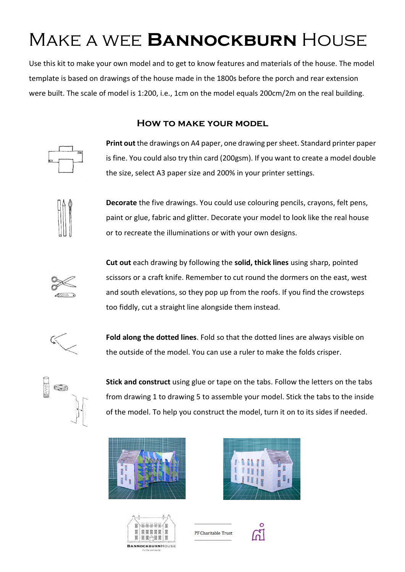## Make a wee **Bannockburn** House

Use this kit to make your own model and to get to know features and materials of the house. The model template is based on drawings of the house made in the 1800s before the porch and rear extension were built. The scale of model is 1:200, i.e., 1cm on the model equals 200cm/2m on the real building.

## **How to make your model**



**Print out** the drawings on A4 paper, one drawing per sheet. Standard printer paper is fine. You could also try thin card (200gsm). If you want to create a model double the size, select A3 paper size and 200% in your printer settings.



**Decorate** the five drawings. You could use colouring pencils, crayons, felt pens, paint or glue, fabric and glitter. Decorate your model to look like the real house or to recreate the illuminations or with your own designs.



**Cut out** each drawing by following the **solid, thick lines** using sharp, pointed scissors or a craft knife. Remember to cut round the dormers on the east, west and south elevations, so they pop up from the roofs. If you find the crowsteps too fiddly, cut a straight line alongside them instead.



**Fold along the dotted lines**. Fold so that the dotted lines are always visible on the outside of the model. You can use a ruler to make the folds crisper.



**Stick and construct** using glue or tape on the tabs. Follow the letters on the tabs from drawing 1 to drawing 5 to assemble your model. Stick the tabs to the inside of the model. To help you construct the model, turn it on to its sides if needed.